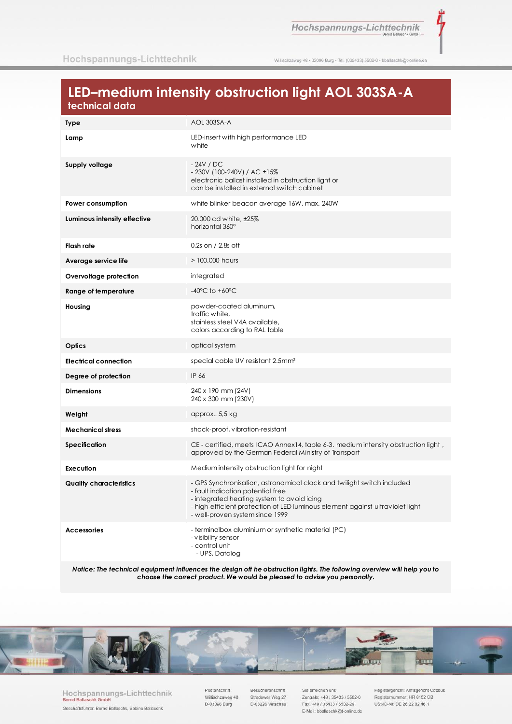Hochspannungs-Lichttechnik

ž

Willischzaweg 48 · 03096 Burg · Tel. (035433) 5502-0 · bballaschk@t-online.de

# LED-medium intensity obstruction light AOL 303SA-A technical data

| <b>Type</b>                    | AOL 303SA-A                                                                                                                                                                                                                                                                   |
|--------------------------------|-------------------------------------------------------------------------------------------------------------------------------------------------------------------------------------------------------------------------------------------------------------------------------|
| Lamp                           | LED-insert with high performance LED<br>white                                                                                                                                                                                                                                 |
| Supply voltage                 | - 24V / DC<br>- 230V (100-240V) / AC ±15%<br>electronic ballast installed in obstruction light or<br>can be installed in external switch cabinet                                                                                                                              |
| Power consumption              | white blinker beacon average 16W, max. 240W                                                                                                                                                                                                                                   |
| Luminous intensity effective   | 20.000 cd white, ±25%<br>horizontal 360°                                                                                                                                                                                                                                      |
| Flash rate                     | 0,2s on / 2,8s off                                                                                                                                                                                                                                                            |
| Average service life           | $>$ 100,000 hours                                                                                                                                                                                                                                                             |
| Overvoltage protection         | integrated                                                                                                                                                                                                                                                                    |
| Range of temperature           | $-40^{\circ}$ C to $+60^{\circ}$ C                                                                                                                                                                                                                                            |
| Housing                        | powder-coated aluminum,<br>traffic white,<br>stainless steel V4A available,<br>colors according to RAL table                                                                                                                                                                  |
| Optics                         | optical system                                                                                                                                                                                                                                                                |
| <b>Electrical connection</b>   | special cable UV resistant 2.5mm <sup>2</sup>                                                                                                                                                                                                                                 |
| Degree of protection           | IP 66                                                                                                                                                                                                                                                                         |
| <b>Dimensions</b>              | 240 x 190 mm (24V)<br>240 x 300 mm (230V)                                                                                                                                                                                                                                     |
| Weight                         | approx 5,5 kg                                                                                                                                                                                                                                                                 |
| <b>Mechanical stress</b>       | shock-proof, vibration-resistant                                                                                                                                                                                                                                              |
| Specification                  | CE - certified, meets ICAO Annex14, table 6-3. medium intensity obstruction light,<br>approved by the German Federal Ministry of Transport                                                                                                                                    |
| Execution                      | Medium intensity obstruction light for night                                                                                                                                                                                                                                  |
| <b>Quality characteristics</b> | - GPS Synchronisation, astronomical clock and twilight switch included<br>- fault indication potential free<br>- integrated heating system to avoid icing<br>- high-efficient protection of LED luminous element against ultraviolet light<br>- well-proven system since 1999 |
| <b>Accessories</b>             | - terminalbox aluminium or synthetic material (PC)<br>- visibility sensor<br>- control unit<br>- UPS, Datalog                                                                                                                                                                 |

Notice: The technical equipment influences the design oft he obstruction lights. The following overview will help you to choose the correct product. We would be pleased to advise you personally.



Hochspannungs-Lichttechnik Bernd Ballaschk Gmbl Geschäftsführer: Bernd Ballaschk, Sabine Ballaschk

Postanschrift Willischzaweg 48 D-03096 Burg

Besucheranschrift Stradower Weg 27 D-03226 Vetschau

Sie erreichen uns Zentrale: +49 / 35433 / 5502-0 Fax: +49 / 35433 / 5502-29 E-Mail: bballaschk@t-online.de

Registergericht: Amtsgericht Cottbus Registernummer: HR 8152 CB USt-ID-Nr. DE 26 22 82 46 1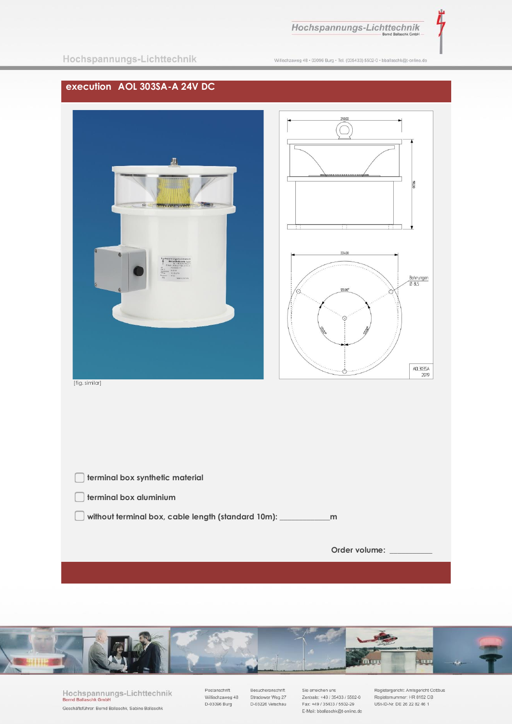Hochspannungs-Lichttechnik

Λ

Willischzaweg 48 · 03096 Burg · Tel. (035433) 5502-0 · bballaschk@t-online.de

## **execution AOL 303SA-A 24V DC**





[fig. similar]

| m             |
|---------------|
|               |
| Order volume: |
|               |



Hochspannungs-Lichttechnik<br>Bernd Ballaschk GmbH Geschäftsführer: Bernd Ballaschk, Sabine Ballaschk

Postanschrift Villischzaweg 48<br>D-03096 Burg Besucheranschrift Stradower Weg 27<br>D-03226 Vetschau Sie erreichen uns Zentrale: +49 / 35433 / 5502-0 Fax: +49 / 35433 / 5502-29 E-Mail: bballaschk@t-online.de Registergericht: Amtsgericht Cottbus<br>Registernummer: HR 8152 CB<br>USt-ID-Nr. DE 26 22 82 46 1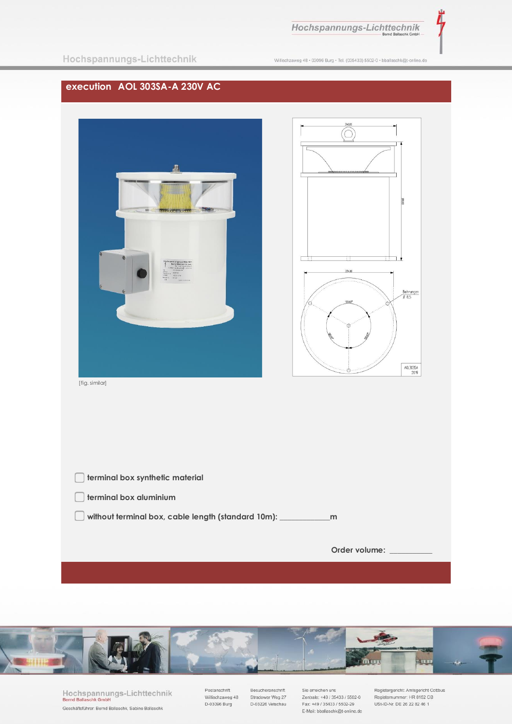

Λ

|  | Hochspannungs-Lichttechnik |  |
|--|----------------------------|--|
|  |                            |  |

Willischzaweg 48 · 03096 Burg · Tel. (035433) 5502-0 · bballaschk@t-online.de

### **execution AOL 303SA-A 230V AC**





[fig. similar]

| terminal box synthetic material                         |               |
|---------------------------------------------------------|---------------|
| terminal box aluminium                                  |               |
| without terminal box, cable length (standard 10m): ____ | m             |
|                                                         |               |
|                                                         | Order volume: |
|                                                         |               |



Hochspannungs-Lichttechnik<br>Bernd Ballaschk GmbH Geschäftsführer: Bernd Ballaschk, Sabine Ballaschk

Postanschrift Willischzaweg 48<br>D-03096 Burg Besucheranschrift Stradower Weg 27<br>D-03226 Vetschau

Sie erreichen uns Zentrale: +49 / 35433 / 5502-0<br>Fax: +49 / 35433 / 5502-29 E-Mail: bballaschk@t-online.de Registergericht: Amtsgericht Cottbus<br>Registernummer: HR 8152 CB<br>USt-ID-Nr. DE 26 22 82 46 1